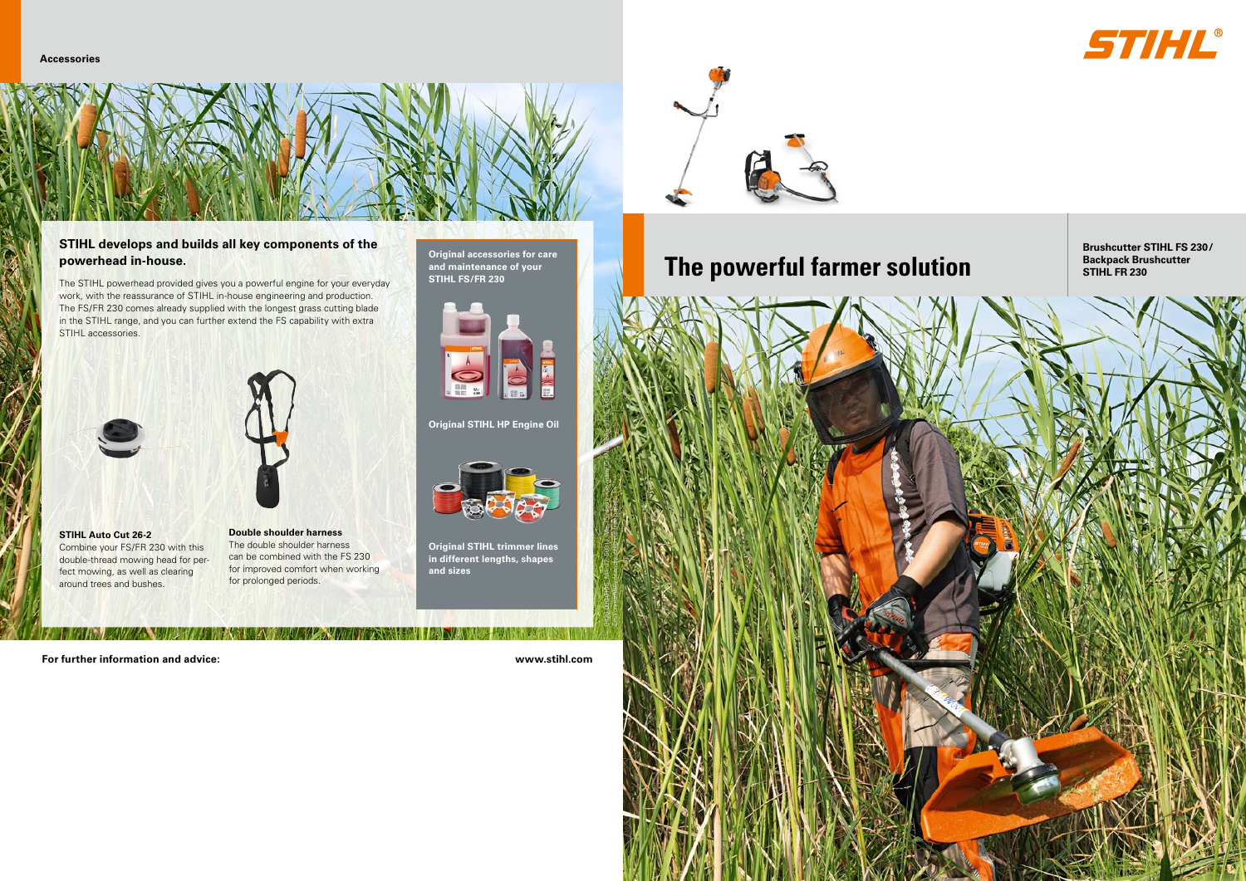









The STIHL powerhead provided gives you a powerful engine for your everyday work, with the reassurance of STIHL in-house engineering and production. The FS/FR 230 comes already supplied with the longest grass cutting blade in the STIHL range, and you can further extend the FS capability with extra STIHL accessories.



## **STIHL develops and builds all key components of the powerhead in-house.**

**Original accessories for care and maintenance of your STIHL FS/FR 230**



**Original STIHL HP Engine Oil** 



**Original STIHL trimmer lines in different lengths, shapes and sizes**



**STIHL Auto Cut 26-2** Combine your FS/FR 230 with this double-thread mowing head for perfect mowing, as well as clearing around trees and bushes.

**Double shoulder harness** The double shoulder harness can be combined with the FS 230 for improved comfort when working for prolonged periods.